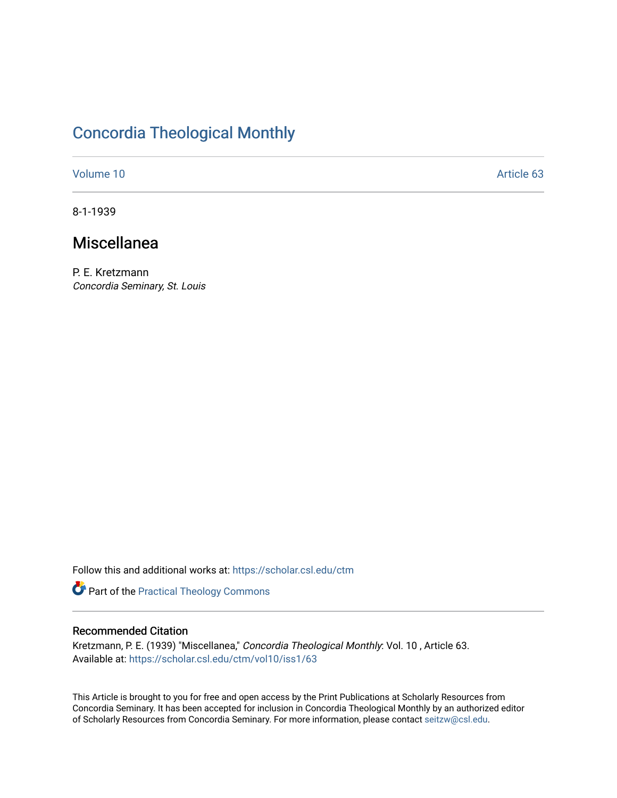# [Concordia Theological Monthly](https://scholar.csl.edu/ctm)

[Volume 10](https://scholar.csl.edu/ctm/vol10) Article 63

8-1-1939

## Miscellanea

P. E. Kretzmann Concordia Seminary, St. Louis

Follow this and additional works at: [https://scholar.csl.edu/ctm](https://scholar.csl.edu/ctm?utm_source=scholar.csl.edu%2Fctm%2Fvol10%2Fiss1%2F63&utm_medium=PDF&utm_campaign=PDFCoverPages)

Part of the [Practical Theology Commons](http://network.bepress.com/hgg/discipline/1186?utm_source=scholar.csl.edu%2Fctm%2Fvol10%2Fiss1%2F63&utm_medium=PDF&utm_campaign=PDFCoverPages)

## Recommended Citation

Kretzmann, P. E. (1939) "Miscellanea," Concordia Theological Monthly: Vol. 10 , Article 63. Available at: [https://scholar.csl.edu/ctm/vol10/iss1/63](https://scholar.csl.edu/ctm/vol10/iss1/63?utm_source=scholar.csl.edu%2Fctm%2Fvol10%2Fiss1%2F63&utm_medium=PDF&utm_campaign=PDFCoverPages) 

This Article is brought to you for free and open access by the Print Publications at Scholarly Resources from Concordia Seminary. It has been accepted for inclusion in Concordia Theological Monthly by an authorized editor of Scholarly Resources from Concordia Seminary. For more information, please contact [seitzw@csl.edu](mailto:seitzw@csl.edu).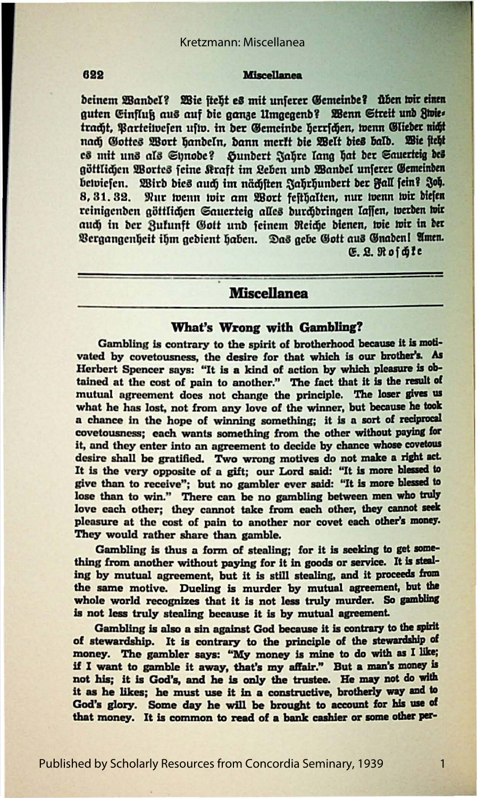#### 622

### **Miscellanea**

deinem Wandel? Wie steht es mit unserer Gemeinde? üben wir einen guten Einfluß aus auf die ganze Umgegend? Wenn Streit und Zwies tracht, Parteiwesen usw. in der Gemeinde berrichen, wenn Glieder nicht nach Gottes Wort handeln, dann merkt die Welt dies bald. Wie steht es mit uns als Synode? Hundert Jahre lang hat der Sauerteig des göttlichen Wortes feine Kraft im Leben und Wandel unferer Gemeinden betviesen. Wird dies auch im nächsten Jahrhundert der Fall fein? Joh. 8, 31, 32. Nur wenn wir am Wort festhalten, nur wenn wir diefen reinigenden göttlichen Sauerteig alles durchdringen lassen, werden wir auch in der Zukunft Gott und feinem Reiche dienen, wie wir in der Vergangenheit ihm gedient haben. Das gebe Gott aus Gnaden! Amen.

G. R. Roidle

## **Miscellanea**

#### What's Wrong with Gambling?

Gambling is contrary to the spirit of brotherhood because it is motivated by covetousness, the desire for that which is our brother's. As Herbert Spencer says: "It is a kind of action by which pleasure is obtained at the cost of pain to another." The fact that it is the result of mutual agreement does not change the principle. The loser gives us what he has lost, not from any love of the winner, but because he took a chance in the hope of winning something; it is a sort of reciprocal covetousness; each wants something from the other without paying for it, and they enter into an agreement to decide by chance whose covetous desire shall be gratified. Two wrong motives do not make a right act. It is the very opposite of a gift; our Lord said: "It is more blessed to give than to receive"; but no gambler ever said: "It is more blessed to lose than to win." There can be no gambling between men who truly love each other; they cannot take from each other, they cannot seek pleasure at the cost of pain to another nor covet each other's money. They would rather share than gamble.

Gambling is thus a form of stealing; for it is seeking to get something from another without paying for it in goods or service. It is stealing by mutual agreement, but it is still stealing, and it proceeds from the same motive. Dueling is murder by mutual agreement, but the whole world recognizes that it is not less truly murder. So gambling is not less truly stealing because it is by mutual agreement.

Gambling is also a sin against God because it is contrary to the spirit of stewardship. It is contrary to the principle of the stewardship of money. The gambler says: "My money is mine to do with as I like; if I want to gamble it away, that's my affair." But a man's money is not his; it is God's, and he is only the trustee. He may not do with it as he likes; he must use it in a constructive, brotherly way and to God's glory. Some day he will be brought to account for his use of that money. It is common to read of a bank cashier or some other per-

1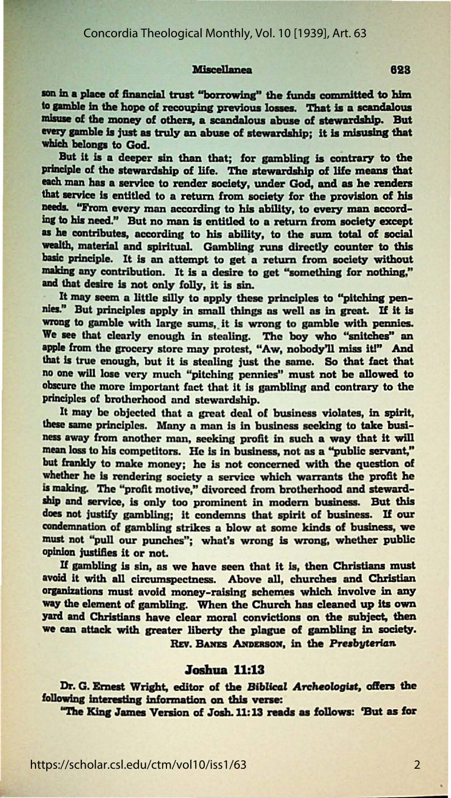#### **Miscellanea**

son in a place of financial trust "borrowing" the funds committed to him to gamble in the hope of recouping previous losses. That is a scandalous misuse of the money of others, a scandalous abuse of stewardship. But every gamble is just as truly an abuse of stewardship; it is misusing that which belongs to God.

But it is a deeper sin than that; for gambling is contrary to the principle of the stewardship of life. The stewardship of life means that each man has a service to render society, under God, and as he renders that service is entitled to a return from society for the provision of his needs. "From every man according to his ability, to every man according to his need." But no man is entitled to a return from society except as he contributes, according to his ability, to the sum total of social wealth, material and spiritual. Gambling runs directly counter to this basic principle. It is an attempt to get a return from society without making any contribution. It is a desire to get "something for nothing," and that desire is not only folly, it is sin.

It may seem a little silly to apply these principles to "pitching pennies." But principles apply in small things as well as in great. If it is wrong to gamble with large sums, it is wrong to gamble with pennies. We see that clearly enough in stealing. The boy who "snitches" an apple from the grocery store may protest, "Aw, nobody'll miss it!" And that is true enough, but it is stealing just the same. So that fact that no one will lose very much "pitching pennies" must not be allowed to obscure the more important fact that it is gambling and contrary to the principles of brotherhood and stewardship.

It may be objected that a great deal of business violates, in spirit, these same principles. Many a man is in business seeking to take business away from another man, seeking profit in such a way that it will mean loss to his competitors. He is in business, not as a "public servant," but frankly to make money; he is not concerned with the question of whether he is rendering society a service which warrants the profit he is making. The "profit motive," divorced from brotherhood and stewardship and service, is only too prominent in modern business. But this does not justify gambling; it condemns that spirit of business. If our condemnation of gambling strikes a blow at some kinds of business, we must not "pull our punches"; what's wrong is wrong, whether public opinion justifies it or not.

If gambling is sin, as we have seen that it is, then Christians must avoid it with all circumspectness. Above all, churches and Christian organizations must avoid money-raising schemes which involve in any way the element of gambling. When the Church has cleaned up its own yard and Christians have clear moral convictions on the subject, then we can attack with greater liberty the plague of gambling in society. REV. BANES ANDERSON, in the Presbyterian

### **Joshua** 11:13

Dr. G. Ernest Wright, editor of the Biblical Archeologist, offers the following interesting information on this verse:

"The King James Version of Josh. 11:13 reads as follows: 'But as for

623

 $\overline{2}$